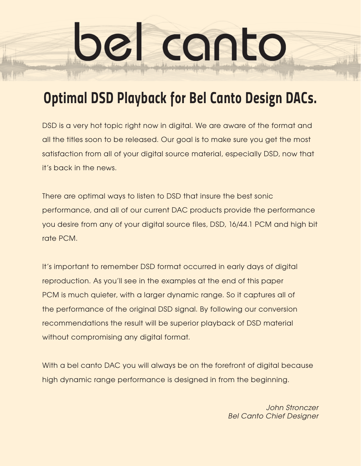bel canto

DSD is a very hot topic right now in digital. We are aware of the format and all the titles soon to be released. Our goal is to make sure you get the most satisfaction from all of your digital source material, especially DSD, now that it's back in the news.

There are optimal ways to listen to DSD that insure the best sonic performance, and all of our current DAC products provide the performance you desire from any of your digital source files, DSD, 16/44.1 PCM and high bit rate PCM.

It's important to remember DSD format occurred in early days of digital reproduction. As you'll see in the examples at the end of this paper PCM is much quieter, with a larger dynamic range. So it captures all of the performance of the original DSD signal. By following our conversion recommendations the result will be superior playback of DSD material without compromising any digital format.

With a bel canto DAC you will always be on the forefront of digital because high dynamic range performance is designed in from the beginning.

> *John Stronczer Bel Canto Chief Designer*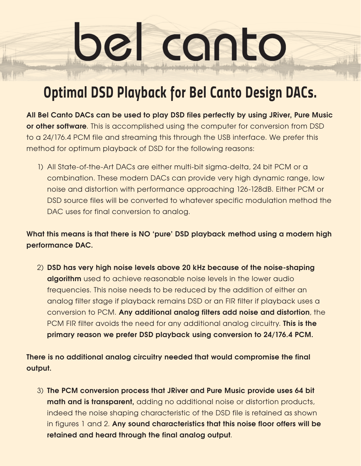bel canto

**All Bel Canto DACs can be used to play DSD files perfectly by using JRiver, Pure Music or other software**. This is accomplished using the computer for conversion from DSD to a 24/176.4 PCM file and streaming this through the USB interface. We prefer this method for optimum playback of DSD for the following reasons:

1) All State-of-the-Art DACs are either multi-bit sigma-delta, 24 bit PCM or a combination. These modern DACs can provide very high dynamic range, low noise and distortion with performance approaching 126-128dB. Either PCM or DSD source files will be converted to whatever specific modulation method the DAC uses for final conversion to analog.

**What this means is that there is NO 'pure' DSD playback method using a modern high performance DAC.**

2) **DSD has very high noise levels above 20 kHz because of the noise-shaping algorithm** used to achieve reasonable noise levels in the lower audio frequencies. This noise needs to be reduced by the addition of either an analog filter stage if playback remains DSD or an FIR filter if playback uses a conversion to PCM. **Any additional analog filters add noise and distortion**, the PCM FIR filter avoids the need for any additional analog circuitry. **This is the primary reason we prefer DSD playback using conversion to 24/176.4 PCM.** 

**There is no additional analog circuitry needed that would compromise the final output.**

3) **The PCM conversion process that JRiver and Pure Music provide uses 64 bit math and is transparent,** adding no additional noise or distortion products, indeed the noise shaping characteristic of the DSD file is retained as shown in figures 1 and 2. **Any sound characteristics that this noise floor offers will be retained and heard through the final analog output**.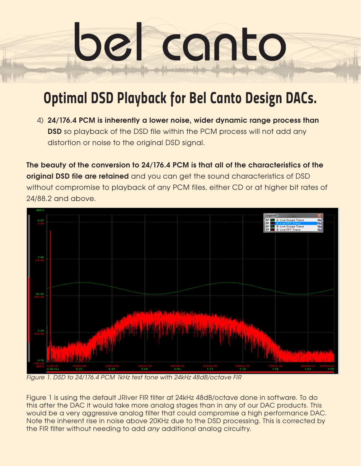bel canto

4) **24/176.4 PCM is inherently a lower noise, wider dynamic range process than DSD** so playback of the DSD file within the PCM process will not add any distortion or noise to the original DSD signal.

**The beauty of the conversion to 24/176.4 PCM is that all of the characteristics of the original DSD file are retained** and you can get the sound characteristics of DSD without compromise to playback of any PCM files, either CD or at higher bit rates of 24/88.2 and above.



*Figure 1. DSD to 24/176.4 PCM 1kHz test tone with 24kHz 48dB/octave FIR*

Figure 1 is using the default JRiver FIR filter at 24kHz 48dB/octave done in software. To do this after the DAC it would take more analog stages than in any of our DAC products. This would be a very aggressive analog filter that could compromise a high performance DAC. Note the inherent rise in noise above 20KHz due to the DSD processing. This is corrected by the FIR filter without needing to add *any* additional analog circuitry.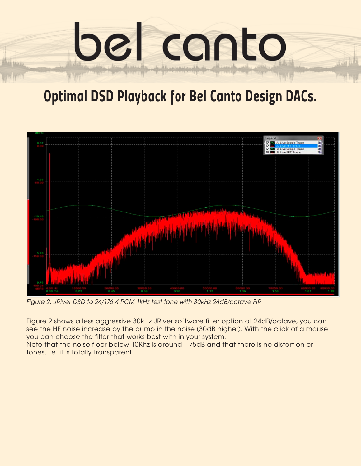



*Figure 2. JRiver DSD to 24/176.4 PCM 1kHz test tone with 30kHz 24dB/octave FIR*

Figure 2 shows a less aggressive 30kHz JRiver software filter option at 24dB/octave, you can see the HF noise increase by the bump in the noise (30dB higher). With the click of a mouse you can choose the filter that works best with in your system.

Note that the noise floor below 10Khz is around -175dB and that there is no distortion or tones, i.e. it is totally transparent.